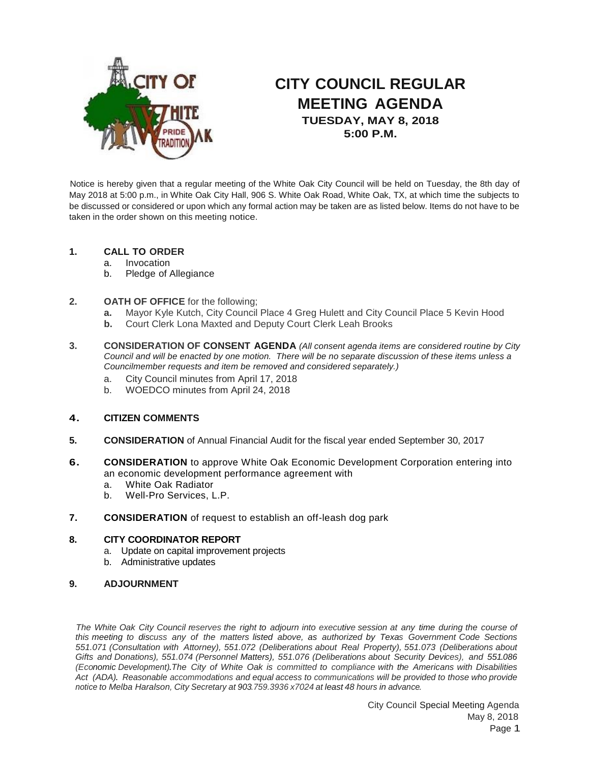

# **CITY COUNCIL REGULAR MEETING AGENDA TUESDAY, MAY 8, 2018 5:00 P.M.**

Notice is hereby given that a regular meeting of the White Oak City Council will be held on Tuesday, the 8th day of May 2018 at 5:00 p.m., in White Oak City Hall, 906 S. White Oak Road, White Oak, TX, at which time the subjects to be discussed or considered or upon which any formal action may be taken are as listed below. Items do not have to be taken in the order shown on this meeting notice.

## **1. CALL TO ORDER**

- a. Invocation
- b. Pledge of Allegiance

## **2. OATH OF OFFICE** for the following;

- **a.** Mayor Kyle Kutch, City Council Place 4 Greg Hulett and City Council Place 5 Kevin Hood
- **b.** Court Clerk Lona Maxted and Deputy Court Clerk Leah Brooks
- **3. CONSIDERATION OF CONSENT AGENDA** *(All consent agenda items are considered routine by City Council and will be enacted by one motion. There will be no separate discussion of these items unless a Councilmember requests and item be removed and considered separately.)*
	- a. City Council minutes from April 17, 2018
	- b. WOEDCO minutes from April 24, 2018

#### **4. CITIZEN COMMENTS**

- **5. CONSIDERATION** of Annual Financial Audit for the fiscal year ended September 30, 2017
- **6. CONSIDERATION** to approve White Oak Economic Development Corporation entering into an economic development performance agreement with
	- a. White Oak Radiator
	- b. Well-Pro Services, L.P.
- **7. CONSIDERATION** of request to establish an off-leash dog park

#### **8. CITY COORDINATOR REPORT**

- a. Update on capital improvement projects
- b. Administrative updates

#### **9. ADJOURNMENT**

The White Oak City Council reserves the right to adjourn into executive session at any time during the course of *this meeting to discuss any of the matters listed above, as authorized by Texas Government Code Sections 551.071 (Consultation with Attorney), 551.072 (Deliberations about Real Property), 551.073 (Deliberations about Gifts and Donations), 551.074 (Personnel Matters), 551.076 (Deliberations about Security Devices), and 551.086 (Economic Development).The City of White Oak is committed to compliance with the Americans with Disabilities Act (ADA). Reasonable accommodations and equal access to communications will be provided to those who provide notice to Melba Haralson, City Secretary at 903.759.3936 x7024 at least 48 hours in advance.*